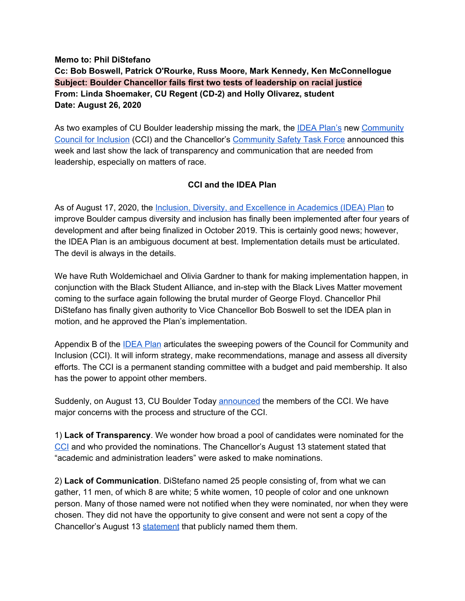## **Memo to: Phil DiStefano Cc: Bob Boswell, Patrick O'Rourke, Russ Moore, Mark Kennedy, Ken McConnellogue Subject: Boulder Chancellor fails first two tests of leadership on racial justice From: Linda Shoemaker, CU Regent (CD-2) and Holly Olivarez, student Date: August 26, 2020**

As two examples of CU Boulder leadership missing the mark, the IDEA [Plan's](https://www.colorado.edu/odece/sites/default/files/attached-files/idea_plan.pdf) new [Community](https://www.colorado.edu/today/2020/08/12/cu-boulder-council-community-and-inclusion-convening) Council for [Inclusion](https://www.colorado.edu/today/2020/08/12/cu-boulder-council-community-and-inclusion-convening) (CCI) and the Chancellor's [Community](https://www.colorado.edu/chancellor/newsletter/chancellor/cu-boulder-establish-community-safety-task-force) Safety Task Force announced this week and last show the lack of transparency and communication that are needed from leadership, especially on matters of race.

## **CCI and the IDEA Plan**

As of August 17, 2020, the Inclusion, Diversity, and Excellence in [Academics](https://www.colorado.edu/odece/sites/default/files/attached-files/idea_plan.pdf) (IDEA) Plan to improve Boulder campus diversity and inclusion has finally been implemented after four years of development and after being finalized in October 2019. This is certainly good news; however, the IDEA Plan is an ambiguous document at best. Implementation details must be articulated. The devil is always in the details.

We have Ruth Woldemichael and Olivia Gardner to thank for making implementation happen, in conjunction with the Black Student Alliance, and in-step with the Black Lives Matter movement coming to the surface again following the brutal murder of George Floyd. Chancellor Phil DiStefano has finally given authority to Vice Chancellor Bob Boswell to set the IDEA plan in motion, and he approved the Plan's implementation.

Appendix B of the [IDEA](https://www.colorado.edu/odece/sites/default/files/attached-files/idea_plan.pdf) Plan articulates the sweeping powers of the Council for Community and Inclusion (CCI). It will inform strategy, make recommendations, manage and assess all diversity efforts. The CCI is a permanent standing committee with a budget and paid membership. It also has the power to appoint other members.

Suddenly, on August 13, CU Boulder Today [announced](https://www.colorado.edu/today/2020/08/12/cu-boulder-council-community-and-inclusion-convening) the members of the CCI. We have major concerns with the process and structure of the CCI.

1) **Lack of Transparency**. We wonder how broad a pool of candidates were nominated for the [CCI](https://www.colorado.edu/today/2020/08/12/cu-boulder-council-community-and-inclusion-convening) and who provided the nominations. The Chancellor's August 13 statement stated that "academic and administration leaders" were asked to make nominations.

2) **Lack of Communication**. DiStefano named 25 people consisting of, from what we can gather, 11 men, of which 8 are white; 5 white women, 10 people of color and one unknown person. Many of those named were not notified when they were nominated, nor when they were chosen. They did not have the opportunity to give consent and were not sent a copy of the Chancellor's August 13 [statement](https://www.colorado.edu/today/2020/08/12/cu-boulder-council-community-and-inclusion-convening) that publicly named them them.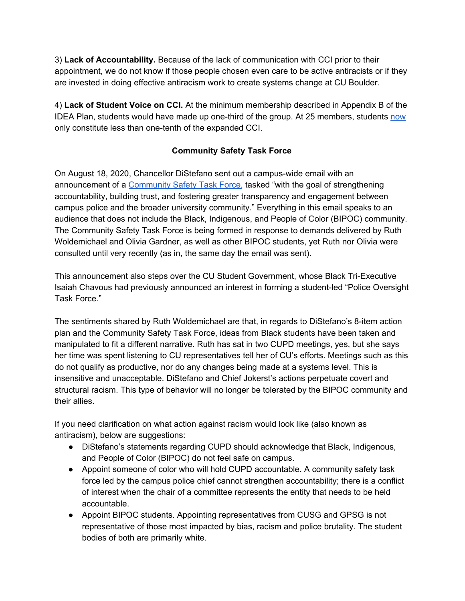3) **Lack of Accountability.** Because of the lack of communication with CCI prior to their appointment, we do not know if those people chosen even care to be active antiracists or if they are invested in doing effective antiracism work to create systems change at CU Boulder.

4) **Lack of Student Voice on CCI.** At the minimum membership described in Appendix B of the IDEA Plan, students would have made up one-third of the group. At 25 members, students [now](https://www.colorado.edu/today/2020/08/12/cu-boulder-council-community-and-inclusion-convening) only constitute less than one-tenth of the expanded CCI.

## **Community Safety Task Force**

On August 18, 2020, Chancellor DiStefano sent out a campus-wide email with an announcement of a [Community](https://www.colorado.edu/chancellor/newsletter/chancellor/cu-boulder-establish-community-safety-task-force) Safety Task Force, tasked "with the goal of strengthening accountability, building trust, and fostering greater transparency and engagement between campus police and the broader university community." Everything in this email speaks to an audience that does not include the Black, Indigenous, and People of Color (BIPOC) community. The Community Safety Task Force is being formed in response to demands delivered by Ruth Woldemichael and Olivia Gardner, as well as other BIPOC students, yet Ruth nor Olivia were consulted until very recently (as in, the same day the email was sent).

This announcement also steps over the CU Student Government, whose Black Tri-Executive Isaiah Chavous had previously announced an interest in forming a student-led "Police Oversight Task Force."

The sentiments shared by Ruth Woldemichael are that, in regards to DiStefano's 8-item action plan and the Community Safety Task Force, ideas from Black students have been taken and manipulated to fit a different narrative. Ruth has sat in two CUPD meetings, yes, but she says her time was spent listening to CU representatives tell her of CU's efforts. Meetings such as this do not qualify as productive, nor do any changes being made at a systems level. This is insensitive and unacceptable. DiStefano and Chief Jokerst's actions perpetuate covert and structural racism. This type of behavior will no longer be tolerated by the BIPOC community and their allies.

If you need clarification on what action against racism would look like (also known as antiracism), below are suggestions:

- DiStefano's statements regarding CUPD should acknowledge that Black, Indigenous, and People of Color (BIPOC) do not feel safe on campus.
- Appoint someone of color who will hold CUPD accountable. A community safety task force led by the campus police chief cannot strengthen accountability; there is a conflict of interest when the chair of a committee represents the entity that needs to be held accountable.
- Appoint BIPOC students. Appointing representatives from CUSG and GPSG is not representative of those most impacted by bias, racism and police brutality. The student bodies of both are primarily white.